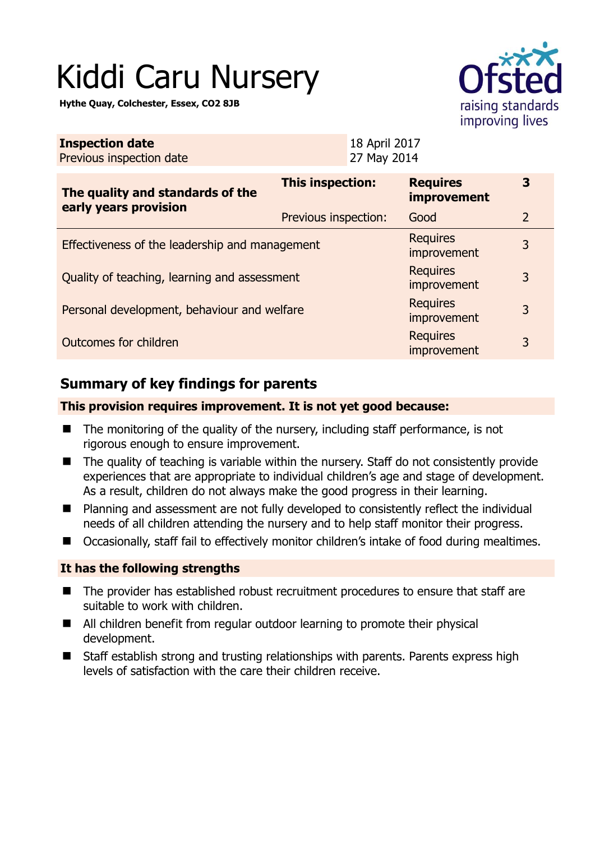# Kiddi Caru Nursery

**Hythe Quay, Colchester, Essex, CO2 8JB** 



| <b>Inspection date</b><br>Previous inspection date        |                      | 18 April 2017<br>27 May 2014 |                                       |                |
|-----------------------------------------------------------|----------------------|------------------------------|---------------------------------------|----------------|
| The quality and standards of the<br>early years provision | This inspection:     |                              | <b>Requires</b><br><b>improvement</b> | 3              |
|                                                           | Previous inspection: |                              | Good                                  | $\overline{2}$ |
| Effectiveness of the leadership and management            |                      |                              | <b>Requires</b><br>improvement        | 3              |
| Quality of teaching, learning and assessment              |                      |                              | <b>Requires</b><br>improvement        | 3              |
| Personal development, behaviour and welfare               |                      |                              | <b>Requires</b><br>improvement        | 3              |
| Outcomes for children                                     |                      |                              | <b>Requires</b><br>improvement        | 3              |

# **Summary of key findings for parents**

#### **This provision requires improvement. It is not yet good because:**

- $\blacksquare$  The monitoring of the quality of the nursery, including staff performance, is not rigorous enough to ensure improvement.
- The quality of teaching is variable within the nursery. Staff do not consistently provide experiences that are appropriate to individual children's age and stage of development. As a result, children do not always make the good progress in their learning.
- Planning and assessment are not fully developed to consistently reflect the individual needs of all children attending the nursery and to help staff monitor their progress.
- Occasionally, staff fail to effectively monitor children's intake of food during mealtimes.

## **It has the following strengths**

- The provider has established robust recruitment procedures to ensure that staff are suitable to work with children.
- All children benefit from regular outdoor learning to promote their physical development.
- Staff establish strong and trusting relationships with parents. Parents express high levels of satisfaction with the care their children receive.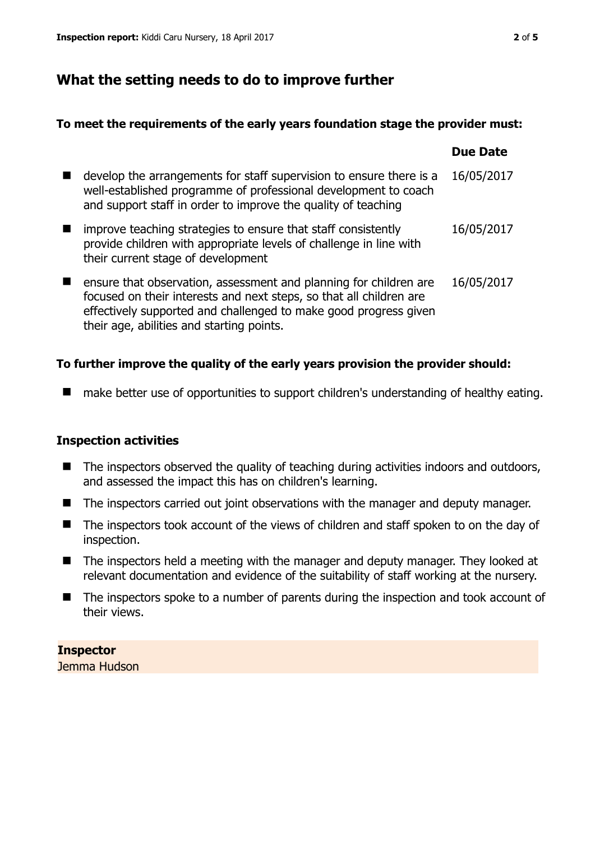# **What the setting needs to do to improve further**

#### **To meet the requirements of the early years foundation stage the provider must:**

|   |                                                                                                                                                                                                                                                           | <b>Due Date</b> |
|---|-----------------------------------------------------------------------------------------------------------------------------------------------------------------------------------------------------------------------------------------------------------|-----------------|
|   | develop the arrangements for staff supervision to ensure there is a<br>well-established programme of professional development to coach<br>and support staff in order to improve the quality of teaching                                                   | 16/05/2017      |
| ш | improve teaching strategies to ensure that staff consistently<br>provide children with appropriate levels of challenge in line with<br>their current stage of development                                                                                 | 16/05/2017      |
| ш | ensure that observation, assessment and planning for children are<br>focused on their interests and next steps, so that all children are<br>effectively supported and challenged to make good progress given<br>their age, abilities and starting points. | 16/05/2017      |

## **To further improve the quality of the early years provision the provider should:**

■ make better use of opportunities to support children's understanding of healthy eating.

## **Inspection activities**

- The inspectors observed the quality of teaching during activities indoors and outdoors, and assessed the impact this has on children's learning.
- The inspectors carried out joint observations with the manager and deputy manager.
- The inspectors took account of the views of children and staff spoken to on the day of inspection.
- The inspectors held a meeting with the manager and deputy manager. They looked at relevant documentation and evidence of the suitability of staff working at the nursery.
- The inspectors spoke to a number of parents during the inspection and took account of their views.

**Inspector**  Jemma Hudson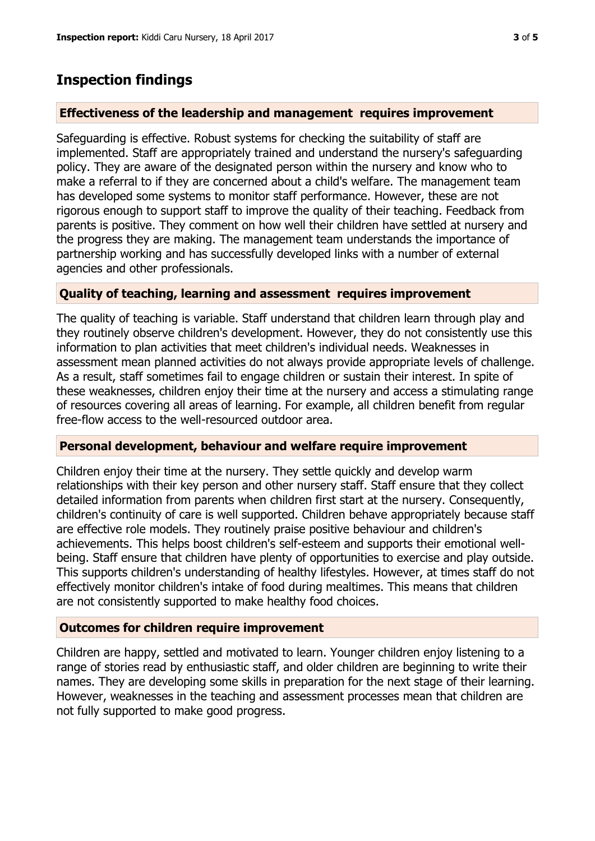## **Inspection findings**

#### **Effectiveness of the leadership and management requires improvement**

Safeguarding is effective. Robust systems for checking the suitability of staff are implemented. Staff are appropriately trained and understand the nursery's safeguarding policy. They are aware of the designated person within the nursery and know who to make a referral to if they are concerned about a child's welfare. The management team has developed some systems to monitor staff performance. However, these are not rigorous enough to support staff to improve the quality of their teaching. Feedback from parents is positive. They comment on how well their children have settled at nursery and the progress they are making. The management team understands the importance of partnership working and has successfully developed links with a number of external agencies and other professionals.

#### **Quality of teaching, learning and assessment requires improvement**

The quality of teaching is variable. Staff understand that children learn through play and they routinely observe children's development. However, they do not consistently use this information to plan activities that meet children's individual needs. Weaknesses in assessment mean planned activities do not always provide appropriate levels of challenge. As a result, staff sometimes fail to engage children or sustain their interest. In spite of these weaknesses, children enjoy their time at the nursery and access a stimulating range of resources covering all areas of learning. For example, all children benefit from regular free-flow access to the well-resourced outdoor area.

#### **Personal development, behaviour and welfare require improvement**

Children enjoy their time at the nursery. They settle quickly and develop warm relationships with their key person and other nursery staff. Staff ensure that they collect detailed information from parents when children first start at the nursery. Consequently, children's continuity of care is well supported. Children behave appropriately because staff are effective role models. They routinely praise positive behaviour and children's achievements. This helps boost children's self-esteem and supports their emotional wellbeing. Staff ensure that children have plenty of opportunities to exercise and play outside. This supports children's understanding of healthy lifestyles. However, at times staff do not effectively monitor children's intake of food during mealtimes. This means that children are not consistently supported to make healthy food choices.

#### **Outcomes for children require improvement**

Children are happy, settled and motivated to learn. Younger children enjoy listening to a range of stories read by enthusiastic staff, and older children are beginning to write their names. They are developing some skills in preparation for the next stage of their learning. However, weaknesses in the teaching and assessment processes mean that children are not fully supported to make good progress.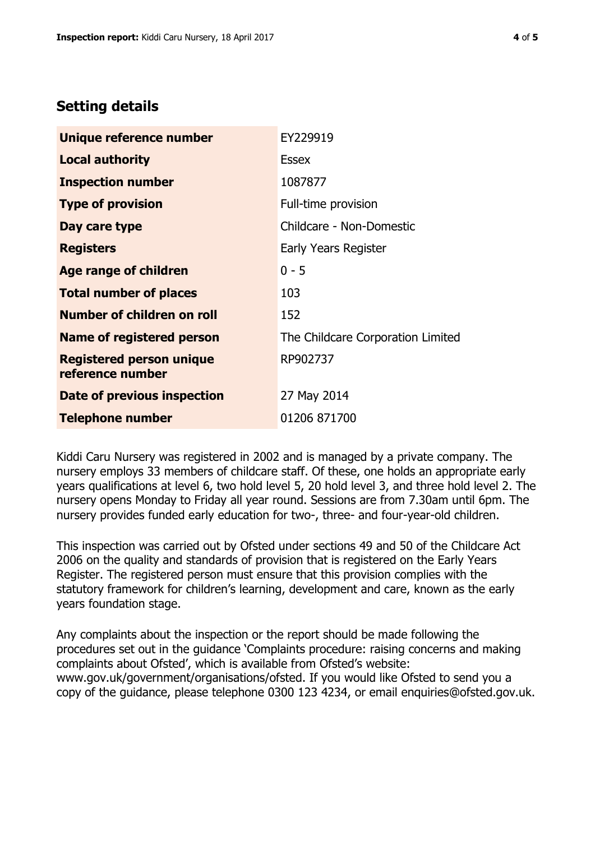# **Setting details**

| Unique reference number                             | EY229919                          |
|-----------------------------------------------------|-----------------------------------|
| <b>Local authority</b>                              | <b>Essex</b>                      |
| <b>Inspection number</b>                            | 1087877                           |
| <b>Type of provision</b>                            | Full-time provision               |
| Day care type                                       | Childcare - Non-Domestic          |
| <b>Registers</b>                                    | Early Years Register              |
| Age range of children                               | $0 - 5$                           |
| <b>Total number of places</b>                       | 103                               |
| Number of children on roll                          | 152                               |
| <b>Name of registered person</b>                    | The Childcare Corporation Limited |
| <b>Registered person unique</b><br>reference number | RP902737                          |
| Date of previous inspection                         | 27 May 2014                       |
| <b>Telephone number</b>                             | 01206 871700                      |

Kiddi Caru Nursery was registered in 2002 and is managed by a private company. The nursery employs 33 members of childcare staff. Of these, one holds an appropriate early years qualifications at level 6, two hold level 5, 20 hold level 3, and three hold level 2. The nursery opens Monday to Friday all year round. Sessions are from 7.30am until 6pm. The nursery provides funded early education for two-, three- and four-year-old children.

This inspection was carried out by Ofsted under sections 49 and 50 of the Childcare Act 2006 on the quality and standards of provision that is registered on the Early Years Register. The registered person must ensure that this provision complies with the statutory framework for children's learning, development and care, known as the early years foundation stage.

Any complaints about the inspection or the report should be made following the procedures set out in the guidance 'Complaints procedure: raising concerns and making complaints about Ofsted', which is available from Ofsted's website: www.gov.uk/government/organisations/ofsted. If you would like Ofsted to send you a copy of the guidance, please telephone 0300 123 4234, or email enquiries@ofsted.gov.uk.